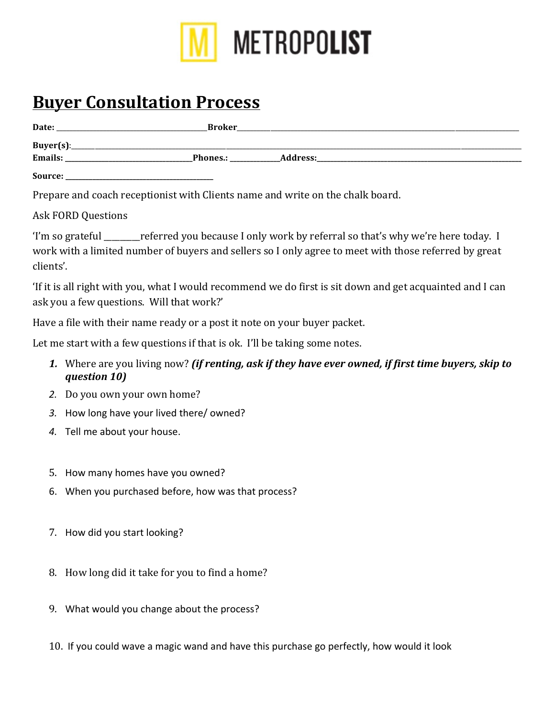

# **Buyer Consultation Process**

| Date:     | <b>Broker</b> |            |  |
|-----------|---------------|------------|--|
| Buyer(s): |               |            |  |
| Emails:   | Phones.:      | _Address:_ |  |
| Source:   |               |            |  |

Prepare and coach receptionist with Clients name and write on the chalk board.

# Ask FORD Questions

'I'm so grateful \_\_\_\_\_\_\_\_referred you because I only work by referral so that's why we're here today. I work with a limited number of buyers and sellers so I only agree to meet with those referred by great clients'. 

'If it is all right with you, what I would recommend we do first is sit down and get acquainted and I can ask you a few questions. Will that work?'

Have a file with their name ready or a post it note on your buyer packet.

Let me start with a few questions if that is ok. I'll be taking some notes.

- **1.** Where are you living now? *(if renting, ask if they have ever owned, if first time buyers, skip to question 10)*
- 2. Do you own your own home?
- 3. How long have your lived there/ owned?
- 4. Tell me about your house.
- 5. How many homes have you owned?
- 6. When you purchased before, how was that process?
- 7. How did you start looking?
- 8. How long did it take for you to find a home?
- 9. What would you change about the process?
- 10. If you could wave a magic wand and have this purchase go perfectly, how would it look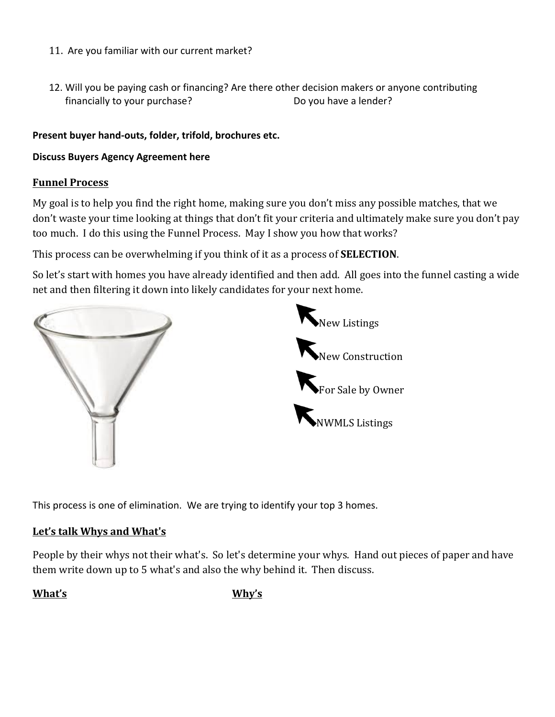- 11. Are you familiar with our current market?
- 12. Will you be paying cash or financing? Are there other decision makers or anyone contributing financially to your purchase? Do you have a lender?

### Present buyer hand-outs, folder, trifold, brochures etc.

### **Discuss Buyers Agency Agreement here**

### **Funnel Process**

My goal is to help you find the right home, making sure you don't miss any possible matches, that we don't waste your time looking at things that don't fit your criteria and ultimately make sure you don't pay too much. I do this using the Funnel Process. May I show you how that works?

This process can be overwhelming if you think of it as a process of **SELECTION**.

So let's start with homes you have already identified and then add. All goes into the funnel casting a wide net and then filtering it down into likely candidates for your next home.





This process is one of elimination. We are trying to identify your top 3 homes.

#### Let's talk Whys and What's

People by their whys not their what's. So let's determine your whys. Hand out pieces of paper and have them write down up to 5 what's and also the why behind it. Then discuss.

What's **What's**